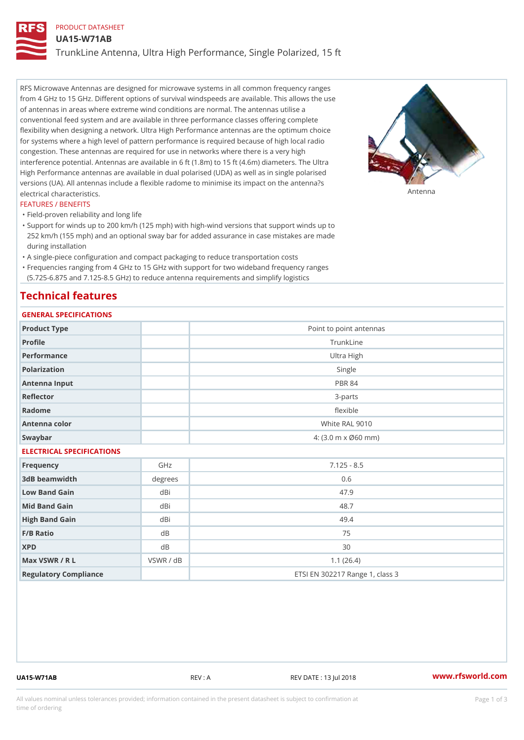# PRODUCT DATASHEET

UA15-W71AB

TrunkLine Antenna, Ultra High Performance, Single Polarized, 15 ft

RFS Microwave Antennas are designed for microwave systems in all common frequency ranges from 4 GHz to 15 GHz. Different options of survival windspeeds are available. This allows the use of antennas in areas where extreme wind conditions are normal. The antennas utilise a conventional feed system and are available in three performance classes offering complete flexibility when designing a network. Ultra High Performance antennas are the optimum choice for systems where a high level of pattern performance is required because of high local radio congestion. These antennas are required for use in networks where there is a very high interference potential. Antennas are available in 6 ft (1.8m) to 15 ft (4.6m) diameters. The Ultra High Performance antennas are available in dual polarised (UDA) as well as in single polarised versions (UA). All antennas include a flexible radome to minimise its impact on the antenna?s electrical characteristics. Antenna

#### FEATURES / BENEFITS

"Field-proven reliability and long life

- Support for winds up to 200 km/h (125 mph) with high-wind versions that support winds up to " 252 km/h (155 mph) and an optional sway bar for added assurance in case mistakes are made during installation
- "A single-piece configuration and compact packaging to reduce transportation costs
- Frequencies ranging from 4 GHz to 15 GHz with support for two wideband frequency ranges "
- (5.725-6.875 and 7.125-8.5 GHz) to reduce antenna requirements and simplify logistics

# Technical features

# GENERAL SPECIFICATIONS

| OLIVERAL OF LOTITUATIONS  |           |                                 |
|---------------------------|-----------|---------------------------------|
| Product Type              |           | Point to point antennas         |
| Profile                   |           | TrunkLine                       |
| Performance               |           | Ultra High                      |
| Polarization              |           | Single                          |
| Antenna Input             |           | PBR 84                          |
| Reflector                 |           | $3 - p$ arts                    |
| Radome                    |           | flexible                        |
| Antenna color             |           | White RAL 9010                  |
| Swaybar                   |           | 4: (3.0 m x Ø60 mm)             |
| ELECTRICAL SPECIFICATIONS |           |                                 |
| Frequency                 | GHz       | $7.125 - 8.5$                   |
| 3dB beamwidth             | degrees   | 0.6                             |
| Low Band Gain             | dBi       | 47.9                            |
| Mid Band Gain             | dBi       | 48.7                            |
| High Band Gain            | dBi       | 49.4                            |
| F/B Ratio                 | d B       | 75                              |
| <b>XPD</b>                | $d$ B     | 30                              |
| Max VSWR / R L            | VSWR / dB | 1.1(26.4)                       |
| Regulatory Compliance     |           | ETSI EN 302217 Range 1, class 3 |

UA15-W71AB REV : A REV DATE : 13 Jul 2018 [www.](https://www.rfsworld.com)rfsworld.com

All values nominal unless tolerances provided; information contained in the present datasheet is subject to Pcapgeign mation time of ordering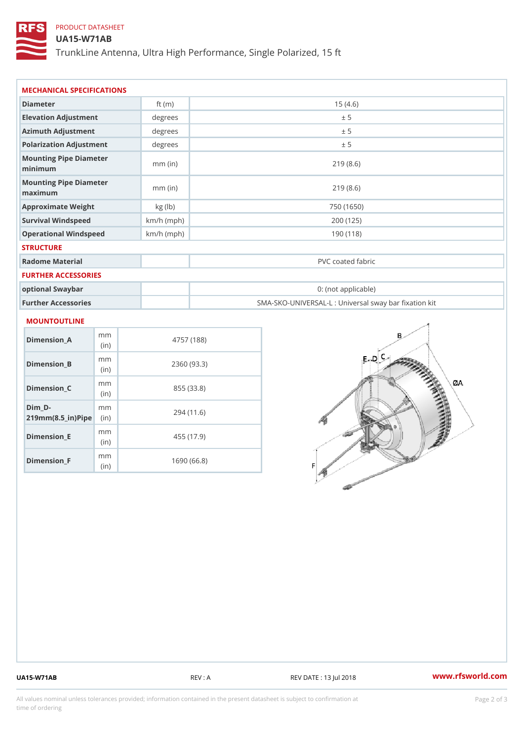# PRODUCT DATASHEET

# UA15-W71AB

TrunkLine Antenna, Ultra High Performance, Single Polarized, 15 ft

| Diameter                           | ft $(m)$     | 15(4.6)                                           |
|------------------------------------|--------------|---------------------------------------------------|
| Elevation Adjustment               | degrees      | ± 5                                               |
| Azimuth Adjustment                 | degrees      | ± 5                                               |
| Polarization Adjustment            | degrees      | ± 5                                               |
| Mounting Pipe Diameter<br>minimaum | $mm$ (in)    | 219(8.6)                                          |
| Mounting Pipe Diameter<br>maximum  | $mm$ (in)    | 219(8.6)                                          |
| Approximate Weight                 | kg (lb)      | 750 (1650)                                        |
| Survival Windspeed                 | $km/h$ (mph) | 200 (125)                                         |
| Operational Windspeed              | $km/h$ (mph) | 190(118)                                          |
| <b>STRUCTURE</b>                   |              |                                                   |
| Radome Material                    |              | PVC coated fabric                                 |
| FURTHER ACCESSORIES                |              |                                                   |
| optional Swaybar                   |              | 0: (not applicable)                               |
| Further Accessories                |              | SMA-SKO-UNIVERSAL-L : Universal sway bar fixation |

| Dimension A                                   | m m<br>(i n)             | 4757 (188)  |
|-----------------------------------------------|--------------------------|-------------|
| Dimension B                                   | m m<br>(i <sub>n</sub> ) | 2360 (93.3) |
| Dimension C                                   | m m<br>(i n)             | 855 (33.8)  |
| Dim D-<br>$219$ m m $(8.5$ in $)$ P in $\geq$ | m m                      | 294 (11.6)  |
| Dimension E                                   | m m<br>(i n)             | 455 (17.9)  |
| Dimension F                                   | m m<br>(in               | 1690 (66.8) |

UA15-W71AB REV : A REV DATE : 13 Jul 2018 [www.](https://www.rfsworld.com)rfsworld.com